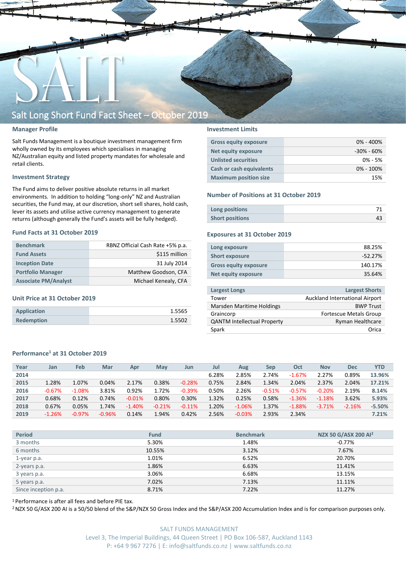

#### **Manager Profile**

Salt Funds Management is a boutique investment management firm wholly owned by its employees which specialises in managing NZ/Australian equity and listed property mandates for wholesale and retail clients.

#### **Investment Strategy**

The Fund aims to deliver positive absolute returns in all market environments. In addition to holding "long-only" NZ and Australian securities, the Fund may, at our discretion, short sell shares, hold cash, lever its assets and utilise active currency management to generate returns (although generally the Fund's assets will be fully hedged).

#### **Fund Facts at 31 October 2019**

| <b>Benchmark</b>            | RBNZ Official Cash Rate +5% p.a. |
|-----------------------------|----------------------------------|
| <b>Fund Assets</b>          | \$115 million                    |
| <b>Inception Date</b>       | 31 July 2014                     |
| <b>Portfolio Manager</b>    | Matthew Goodson, CFA             |
| <b>Associate PM/Analyst</b> | Michael Kenealy, CFA             |

#### **Unit Price at 31 October 2019**

| Application       | 1.5565 |
|-------------------|--------|
| <b>Redemption</b> | 1.5502 |

#### **Investment Limits**

| <b>Gross equity exposure</b> | $0\% - 400\%$  |
|------------------------------|----------------|
| Net equity exposure          | $-30\% - 60\%$ |
| <b>Unlisted securities</b>   | $0\% - 5\%$    |
| Cash or cash equivalents     | $0\% - 100\%$  |
| <b>Maximum position size</b> | 15%            |

#### **Number of Positions at 31 October 2019**

| Long positions         |  |
|------------------------|--|
| <b>Short positions</b> |  |

#### **Exposures at 31 October 2019**

| Long exposure                | 88.25%    |
|------------------------------|-----------|
| <b>Short exposure</b>        | $-52.27%$ |
| <b>Gross equity exposure</b> | 140.17%   |
| Net equity exposure          | 35.64%    |
|                              |           |

| <b>Largest Longs</b>               | <b>Largest Shorts</b>          |
|------------------------------------|--------------------------------|
| Tower                              | Auckland International Airport |
| Marsden Maritime Holdings          | <b>BWP Trust</b>               |
| Graincorp                          | <b>Fortescue Metals Group</b>  |
| <b>QANTM Intellectual Property</b> | <b>Ryman Healthcare</b>        |
| Spark                              | Orica                          |
|                                    |                                |

#### **Performance<sup>1</sup> at 31 October 2019**

| Year | Jan      | Feb      | Mar      | Apr       | Mav      | Jun      | Jul   | Aug      | Sep      | Oct      | <b>Nov</b> | <b>Dec</b> | <b>YTD</b> |
|------|----------|----------|----------|-----------|----------|----------|-------|----------|----------|----------|------------|------------|------------|
| 2014 |          |          |          |           |          |          | 6.28% | 2.85%    | 2.74%    | $-1.67%$ | 2.27%      | 0.89%      | 13.96%     |
| 2015 | 1.28%    | 1.07%    | 0.04%    | 2.17%     | 0.38%    | $-0.28%$ | 0.75% | 2.84%    | 1.34%    | 2.04%    | 2.37%      | 2.04%      | 17.21%     |
| 2016 | $-0.67%$ | $-1.08%$ | 3.81%    | 0.92%     | 1.72%    | $-0.39%$ | 0.50% | 2.26%    | $-0.51%$ | $-0.57%$ | $-0.20%$   | 2.19%      | 8.14%      |
| 2017 | 0.68%    | 0.12%    | 0.74%    | $-0.01\%$ | 0.80%    | 0.30%    | 1.32% | 0.25%    | 0.58%    | $-1.36%$ | $-1.18%$   | 3.62%      | 5.93%      |
| 2018 | 0.67%    | 0.05%    | 1.74%    | $-1.40%$  | $-0.21%$ | $-0.11%$ | 1.20% | $-1.06%$ | 1.37%    | $-1.88%$ | $-3.71%$   | $-2.16%$   | $-5.50%$   |
| 2019 | $-1.26%$ | $-0.97%$ | $-0.96%$ | 0.14%     | 1.94%    | 0.42%    | 2.56% | $-0.03%$ | 2.93%    | 2.34%    |            |            | 7.21%      |
|      |          |          |          |           |          |          |       |          |          |          |            |            |            |

| <b>Period</b>        | <b>Fund</b> | <b>Benchmark</b> | NZX 50 G/ASX 200 Al <sup>2</sup> |
|----------------------|-------------|------------------|----------------------------------|
| 3 months             | 5.30%       | 1.48%            | -0.77%                           |
| 6 months             | 10.55%      | 3.12%            | 7.67%                            |
| 1-year p.a.          | 1.01%       | 6.52%            | 20.70%                           |
| 2-years p.a.         | 1.86%       | 6.63%            | 11.41%                           |
| 3 years p.a.         | 3.06%       | 6.68%            | 13.15%                           |
| 5 years p.a.         | 7.02%       | 7.13%            | 11.11%                           |
| Since inception p.a. | 8.71%       | 7.22%            | 11.27%                           |

<sup>1</sup> Performance is after all fees and before PIE tax.

<sup>2</sup> NZX 50 G/ASX 200 AI is a 50/50 blend of the S&P/NZX 50 Gross Index and the S&P/ASX 200 Accumulation Index and is for comparison purposes only.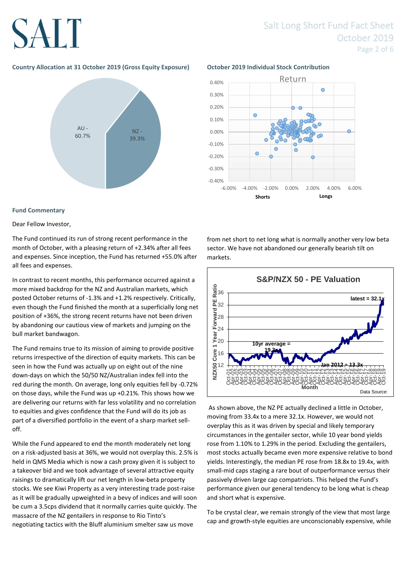### Salt Long Short Fund Fact Sheet October 2019 Page 2 of 6

### **Country Allocation at 31 October 2019 (Gross Equity Exposure) October 2019 Individual Stock Contribution**



### **Fund Commentary**

Dear Fellow Investor,

The Fund continued its run of strong recent performance in the month of October, with a pleasing return of +2.34% after all fees and expenses. Since inception, the Fund has returned +55.0% after all fees and expenses.

In contrast to recent months, this performance occurred against a more mixed backdrop for the NZ and Australian markets, which posted October returns of -1.3% and +1.2% respectively. Critically, even though the Fund finished the month at a superficially long net position of +36%, the strong recent returns have not been driven by abandoning our cautious view of markets and jumping on the bull market bandwagon.

The Fund remains true to its mission of aiming to provide positive returns irrespective of the direction of equity markets. This can be seen in how the Fund was actually up on eight out of the nine down-days on which the 50/50 NZ/Australian index fell into the red during the month. On average, long only equities fell by -0.72% on those days, while the Fund was up +0.21%. This shows how we are delivering our returns with far less volatility and no correlation to equities and gives confidence that the Fund will do its job as part of a diversified portfolio in the event of a sharp market selloff.

While the Fund appeared to end the month moderately net long on a risk-adjusted basis at 36%, we would not overplay this. 2.5% is held in QMS Media which is now a cash proxy given it is subject to a takeover bid and we took advantage of several attractive equity raisings to dramatically lift our net length in low-beta property stocks. We see Kiwi Property as a very interesting trade post-raise as it will be gradually upweighted in a bevy of indices and will soon be cum a 3.5cps dividend that it normally carries quite quickly. The massacre of the NZ gentailers in response to Rio Tinto's negotiating tactics with the Bluff aluminium smelter saw us move



from net short to net long what is normally another very low beta sector. We have not abandoned our generally bearish tilt on markets.



As shown above, the NZ PE actually declined a little in October, moving from 33.4x to a mere 32.1x. However, we would not overplay this as it was driven by special and likely temporary circumstances in the gentailer sector, while 10 year bond yields rose from 1.10% to 1.29% in the period. Excluding the gentailers, most stocks actually became even more expensive relative to bond yields. Interestingly, the median PE rose from 18.8x to 19.4x, with small-mid caps staging a rare bout of outperformance versus their passively driven large cap compatriots. This helped the Fund's performance given our general tendency to be long what is cheap and short what is expensive.

To be crystal clear, we remain strongly of the view that most large cap and growth-style equities are unconscionably expensive, while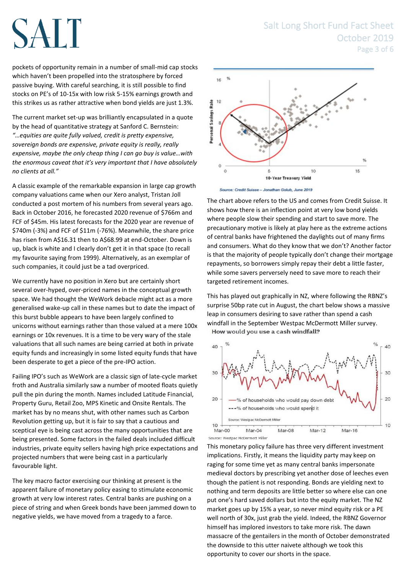pockets of opportunity remain in a number of small-mid cap stocks which haven't been propelled into the stratosphere by forced passive buying. With careful searching, it is still possible to find stocks on PE's of 10-15x with low risk 5-15% earnings growth and this strikes us as rather attractive when bond yields are just 1.3%.

The current market set-up was brilliantly encapsulated in a quote by the head of quantitative strategy at Sanford C. Bernstein: *"…equities are quite fully valued, credit is pretty expensive, sovereign bonds are expensive, private equity is really, really expensive, maybe the only cheap thing I can go buy is value…with the enormous caveat that it's very important that I have absolutely no clients at all."*

A classic example of the remarkable expansion in large cap growth company valuations came when our Xero analyst, Tristan Joll conducted a post mortem of his numbers from several years ago. Back in October 2016, he forecasted 2020 revenue of \$766m and FCF of \$45m. His latest forecasts for the 2020 year are revenue of \$740m (-3%) and FCF of \$11m (-76%). Meanwhile, the share price has risen from A\$16.31 then to A\$68.99 at end-October. Down is up, black is white and I clearly don't get it in that space (to recall my favourite saying from 1999). Alternatively, as an exemplar of such companies, it could just be a tad overpriced.

We currently have no position in Xero but are certainly short several over-hyped, over-priced names in the conceptual growth space. We had thought the WeWork debacle might act as a more generalised wake-up call in these names but to date the impact of this burst bubble appears to have been largely confined to unicorns without earnings rather than those valued at a mere 100x earnings or 10x revenues. It is a time to be very wary of the stale valuations that all such names are being carried at both in private equity funds and increasingly in some listed equity funds that have been desperate to get a piece of the pre-IPO action.

Failing IPO's such as WeWork are a classic sign of late-cycle market froth and Australia similarly saw a number of mooted floats quietly pull the pin during the month. Names included Latitude Financial, Property Guru, Retail Zoo, MPS Kinetic and Onsite Rentals. The market has by no means shut, with other names such as Carbon Revolution getting up, but it is fair to say that a cautious and sceptical eye is being cast across the many opportunities that are being presented. Some factors in the failed deals included difficult industries, private equity sellers having high price expectations and projected numbers that were being cast in a particularly favourable light.

The key macro factor exercising our thinking at present is the apparent failure of monetary policy easing to stimulate economic growth at very low interest rates. Central banks are pushing on a piece of string and when Greek bonds have been jammed down to negative yields, we have moved from a tragedy to a farce.

### Salt Long Short Fund Fact Sheet October 2019 Page 3 of 6



Source: Credit Suisse - Jonathan Golub, June 2019

The chart above refers to the US and comes from Credit Suisse. It shows how there is an inflection point at very low bond yields where people slow their spending and start to save more. The precautionary motive is likely at play here as the extreme actions of central banks have frightened the daylights out of many firms and consumers. What do they know that we don't? Another factor is that the majority of people typically don't change their mortgage repayments, so borrowers simply repay their debt a little faster, while some savers perversely need to save more to reach their targeted retirement incomes.

This has played out graphically in NZ, where following the RBNZ's surprise 50bp rate cut in August, the chart below shows a massive leap in consumers desiring to save rather than spend a cash windfall in the September Westpac McDermott Miller survey. How would you use a cash windfall?



This monetary policy failure has three very different investment implications. Firstly, it means the liquidity party may keep on raging for some time yet as many central banks impersonate medieval doctors by prescribing yet another dose of leeches even though the patient is not responding. Bonds are yielding next to nothing and term deposits are little better so where else can one put one's hard saved dollars but into the equity market. The NZ market goes up by 15% a year, so never mind equity risk or a PE well north of 30x, just grab the yield. Indeed, the RBNZ Governor himself has implored investors to take more risk. The dawn massacre of the gentailers in the month of October demonstrated the downside to this utter naivete although we took this opportunity to cover our shorts in the space.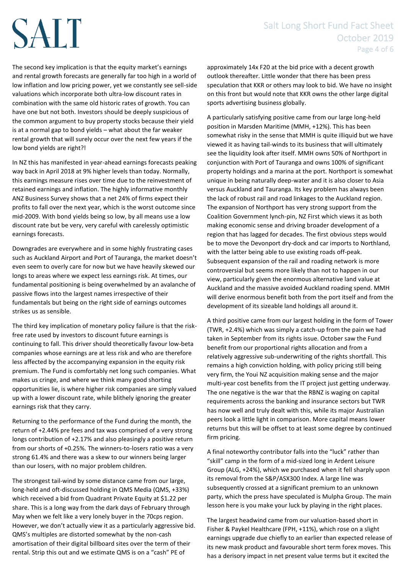The second key implication is that the equity market's earnings and rental growth forecasts are generally far too high in a world of low inflation and low pricing power, yet we constantly see sell-side valuations which incorporate both ultra-low discount rates in combination with the same old historic rates of growth. You can have one but not both. Investors should be deeply suspicious of the common argument to buy property stocks because their yield is at a normal gap to bond yields – what about the far weaker rental growth that will surely occur over the next few years if the low bond yields are right?!

In NZ this has manifested in year-ahead earnings forecasts peaking way back in April 2018 at 9% higher levels than today. Normally, this earnings measure rises over time due to the reinvestment of retained earnings and inflation. The highly informative monthly ANZ Business Survey shows that a net 24% of firms expect their profits to fall over the next year, which is the worst outcome since mid-2009. With bond yields being so low, by all means use a low discount rate but be very, very careful with carelessly optimistic earnings forecasts.

Downgrades are everywhere and in some highly frustrating cases such as Auckland Airport and Port of Tauranga, the market doesn't even seem to overly care for now but we have heavily skewed our longs to areas where we expect less earnings risk. At times, our fundamental positioning is being overwhelmed by an avalanche of passive flows into the largest names irrespective of their fundamentals but being on the right side of earnings outcomes strikes us as sensible.

The third key implication of monetary policy failure is that the riskfree rate used by investors to discount future earnings is continuing to fall. This driver should theoretically favour low-beta companies whose earnings are at less risk and who are therefore less affected by the accompanying expansion in the equity risk premium. The Fund is comfortably net long such companies. What makes us cringe, and where we think many good shorting opportunities lie, is where higher risk companies are simply valued up with a lower discount rate, while blithely ignoring the greater earnings risk that they carry.

Returning to the performance of the Fund during the month, the return of +2.44% pre fees and tax was comprised of a very strong longs contribution of +2.17% and also pleasingly a positive return from our shorts of +0.25%. The winners-to-losers ratio was a very strong 61.4% and there was a skew to our winners being larger than our losers, with no major problem children.

The strongest tail-wind by some distance came from our large, long-held and oft-discussed holding in QMS Media (QMS, +33%) which received a bid from Quadrant Private Equity at \$1.22 per share. This is a long way from the dark days of February through May when we felt like a very lonely buyer in the 70cps region. However, we don't actually view it as a particularly aggressive bid. QMS's multiples are distorted somewhat by the non-cash amortisation of their digital billboard sites over the term of their rental. Strip this out and we estimate QMS is on a "cash" PE of

approximately 14x F20 at the bid price with a decent growth outlook thereafter. Little wonder that there has been press speculation that KKR or others may look to bid. We have no insight on this front but would note that KKR owns the other large digital sports advertising business globally.

A particularly satisfying positive came from our large long-held position in Marsden Maritime (MMH, +12%). This has been somewhat risky in the sense that MMH is quite illiquid but we have viewed it as having tail-winds to its business that will ultimately see the liquidity look after itself. MMH owns 50% of Northport in conjunction with Port of Tauranga and owns 100% of significant property holdings and a marina at the port. Northport is somewhat unique in being naturally deep-water and it is also closer to Asia versus Auckland and Tauranga. Its key problem has always been the lack of robust rail and road linkages to the Auckland region. The expansion of Northport has very strong support from the Coalition Government lynch-pin, NZ First which views it as both making economic sense and driving broader development of a region that has lagged for decades. The first obvious steps would be to move the Devonport dry-dock and car imports to Northland, with the latter being able to use existing roads off-peak. Subsequent expansion of the rail and roading network is more controversial but seems more likely than not to happen in our view, particularly given the enormous alternative land value at Auckland and the massive avoided Auckland roading spend. MMH will derive enormous benefit both from the port itself and from the development of its sizeable land holdings all around it.

A third positive came from our largest holding in the form of Tower (TWR, +2.4%) which was simply a catch-up from the pain we had taken in September from its rights issue. October saw the Fund benefit from our proportional rights allocation and from a relatively aggressive sub-underwriting of the rights shortfall. This remains a high conviction holding, with policy pricing still being very firm, the Youi NZ acquisition making sense and the major multi-year cost benefits from the IT project just getting underway. The one negative is the war that the RBNZ is waging on capital requirements across the banking and insurance sectors but TWR has now well and truly dealt with this, while its major Australian peers look a little light in comparison. More capital means lower returns but this will be offset to at least some degree by continued firm pricing.

A final noteworthy contributor falls into the "luck" rather than "skill" camp in the form of a mid-sized long in Ardent Leisure Group (ALG, +24%), which we purchased when it fell sharply upon its removal from the S&P/ASX300 Index. A large line was subsequently crossed at a significant premium to an unknown party, which the press have speculated is Mulpha Group. The main lesson here is you make your luck by playing in the right places.

The largest headwind came from our valuation-based short in Fisher & Paykel Healthcare (FPH, +11%), which rose on a slight earnings upgrade due chiefly to an earlier than expected release of its new mask product and favourable short term forex moves. This has a derisory impact in net present value terms but it excited the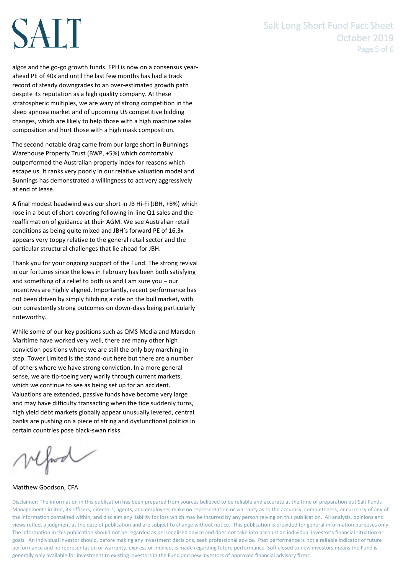### Salt Long Short Fund Fact Sheet October 2019 Page 5 of 6

# SALT

algos and the go-go growth funds. FPH is now on a consensus yearahead PE of 40x and until the last few months has had a track record of steady downgrades to an over-estimated growth path despite its reputation as a high quality company. At these stratospheric multiples, we are wary of strong competition in the sleep apnoea market and of upcoming US competitive bidding changes, which are likely to help those with a high machine sales composition and hurt those with a high mask composition.

The second notable drag came from our large short in Bunnings Warehouse Property Trust (BWP, +5%) which comfortably outperformed the Australian property index for reasons which escape us. It ranks very poorly in our relative valuation model and Bunnings has demonstrated a willingness to act very aggressively at end of lease.

A final modest headwind was our short in JB Hi-Fi (JBH, +8%) which rose in a bout of short-covering following in-line Q1 sales and the reaffirmation of guidance at their AGM. We see Australian retail conditions as being quite mixed and JBH's forward PE of 16.3x appears very toppy relative to the general retail sector and the particular structural challenges that lie ahead for JBH.

Thank you for your ongoing support of the Fund. The strong revival in our fortunes since the lows in February has been both satisfying and something of a relief to both us and I am sure you – our incentives are highly aligned. Importantly, recent performance has not been driven by simply hitching a ride on the bull market, with our consistently strong outcomes on down-days being particularly noteworthy.

While some of our key positions such as QMS Media and Marsden Maritime have worked very well, there are many other high conviction positions where we are still the only boy marching in step. Tower Limited is the stand-out here but there are a number of others where we have strong conviction. In a more general sense, we are tip-toeing very warily through current markets, which we continue to see as being set up for an accident. Valuations are extended, passive funds have become very large and may have difficulty transacting when the tide suddenly turns, high yield debt markets globally appear unusually levered, central banks are pushing on a piece of string and dysfunctional politics in certain countries pose black-swan risks.

vefood

Matthew Goodson, CFA

Disclaimer: The information in this publication has been prepared from sources believed to be reliable and accurate at the time of preparation but Salt Funds Management Limited, its officers, directors, agents, and employees make no representation or warranty as to the accuracy, completeness, or currency of any of the information contained within, and disclaim any liability for loss which may be incurred by any person relying on this publication. All analysis, opinions and views reflect a judgment at the date of publication and are subject to change without notice. This publication is provided for general information purposes only. The information in this publication should not be regarded as personalised advice and does not take into account an individual investor's financial situation or goals. An individual investor should, before making any investment decisions, seek professional advice. Past performance is not a reliable indicator of future performance and no representation or warranty, express or implied, is made regarding future performance. Soft closed to new investors means the Fund is generally only available for investment to existing investors in the Fund and new investors of approved financial advisory firms.